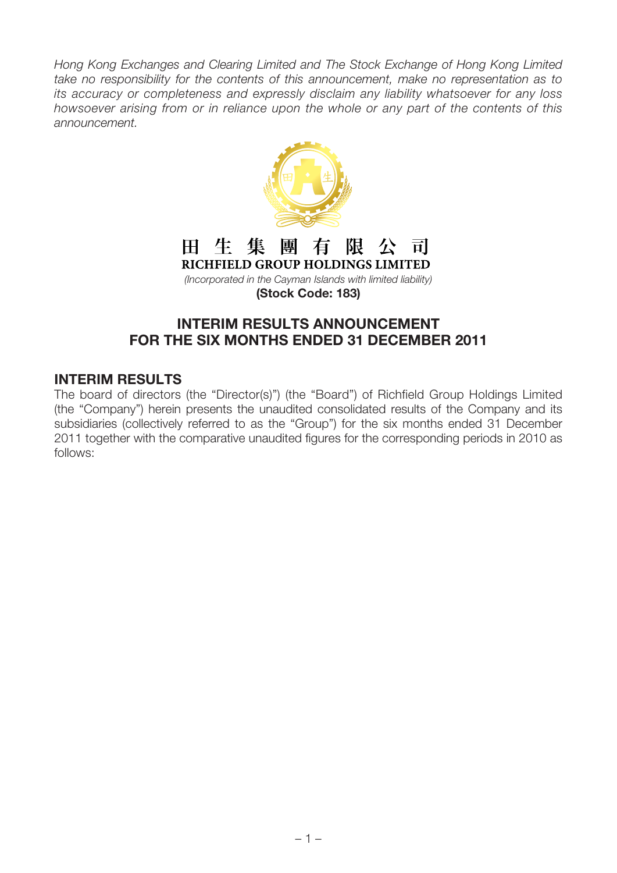Hong Kong Exchanges and Clearing Limited and The Stock Exchange of Hong Kong Limited take no responsibility for the contents of this announcement, make no representation as to its accuracy or completeness and expressly disclaim any liability whatsoever for any loss howsoever arising from or in reliance upon the whole or any part of the contents of this announcement.



#### 田 生 集 團 有 阻 公 ं चें RICHFIELD GROUP HOLDINGS LIMITED

(Incorporated in the Cayman Islands with limited liability) **(Stock Code: 183)**

# **INTERIM RESULTS ANNOUNCEMENT FOR THE SIX MONTHS ENDED 31 DECEMBER 2011**

### **INTERIM RESULTS**

The board of directors (the "Director(s)") (the "Board") of Richfield Group Holdings Limited (the "Company") herein presents the unaudited consolidated results of the Company and its subsidiaries (collectively referred to as the "Group") for the six months ended 31 December 2011 together with the comparative unaudited figures for the corresponding periods in 2010 as follows: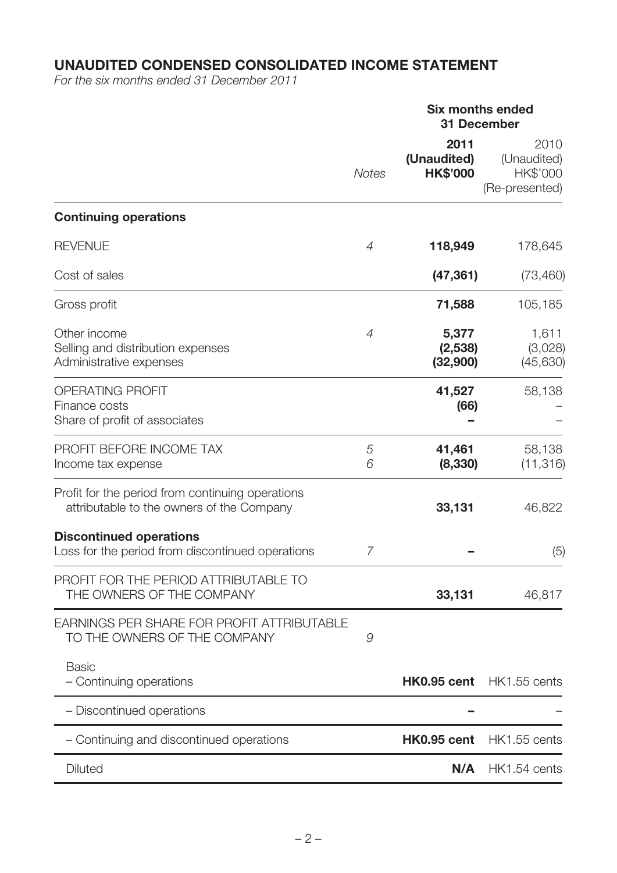# **UNAUDITED CONDENSED CONSOLIDATED INCOME STATEMENT**

For the six months ended 31 December 2011

### **Six months ended 31 December**

|                                                                                               | <b>Notes</b>   | 2011<br>(Unaudited)<br><b>HK\$'000</b> | 2010<br>(Unaudited)<br>HK\$'000<br>(Re-presented) |
|-----------------------------------------------------------------------------------------------|----------------|----------------------------------------|---------------------------------------------------|
| <b>Continuing operations</b>                                                                  |                |                                        |                                                   |
| <b>REVENUE</b>                                                                                | $\overline{4}$ | 118,949                                | 178,645                                           |
| Cost of sales                                                                                 |                | (47, 361)                              | (73, 460)                                         |
| Gross profit                                                                                  |                | 71,588                                 | 105,185                                           |
| Other income<br>Selling and distribution expenses<br>Administrative expenses                  | $\overline{4}$ | 5,377<br>(2,538)<br>(32,900)           | 1,611<br>(3,028)<br>(45, 630)                     |
| <b>OPERATING PROFIT</b><br>Finance costs<br>Share of profit of associates                     |                | 41,527<br>(66)                         | 58,138                                            |
| PROFIT BEFORE INCOME TAX<br>Income tax expense                                                | 5<br>6         | 41,461<br>(8, 330)                     | 58,138<br>(11, 316)                               |
| Profit for the period from continuing operations<br>attributable to the owners of the Company |                | 33,131                                 | 46,822                                            |
| <b>Discontinued operations</b><br>Loss for the period from discontinued operations            | 7              |                                        | (5)                                               |
| PROFIT FOR THE PERIOD ATTRIBUTABLE TO<br>THE OWNERS OF THE COMPANY                            |                | 33,131                                 | 46,817                                            |
| EARNINGS PER SHARE FOR PROFIT ATTRIBUTABLE<br>TO THE OWNERS OF THE COMPANY                    | 9              |                                        |                                                   |
| <b>Basic</b><br>- Continuing operations                                                       |                | <b>HK0.95 cent</b>                     | HK1.55 cents                                      |
| - Discontinued operations                                                                     |                |                                        |                                                   |
| - Continuing and discontinued operations                                                      |                | HK0.95 cent                            | HK1.55 cents                                      |
| <b>Diluted</b>                                                                                |                | N/A                                    | HK1.54 cents                                      |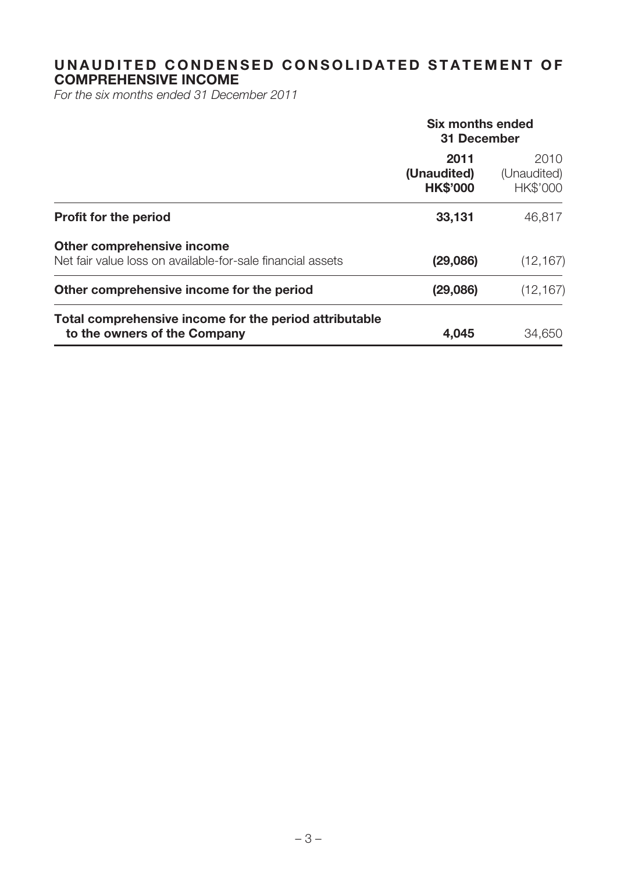### **UNAUDITED CONDENSED CONSOLIDATED STATEMENT OF COMPREHENSIVE INCOME**

For the six months ended 31 December 2011

|                                                                                          | Six months ended<br>31 December        |                                 |  |
|------------------------------------------------------------------------------------------|----------------------------------------|---------------------------------|--|
|                                                                                          | 2011<br>(Unaudited)<br><b>HK\$'000</b> | 2010<br>(Unaudited)<br>HK\$'000 |  |
| <b>Profit for the period</b>                                                             | 33,131                                 | 46,817                          |  |
| Other comprehensive income<br>Net fair value loss on available-for-sale financial assets | (29,086)                               | (12, 167)                       |  |
| Other comprehensive income for the period                                                | (29,086)                               | (12, 167)                       |  |
| Total comprehensive income for the period attributable<br>to the owners of the Company   | 4,045                                  | 34,650                          |  |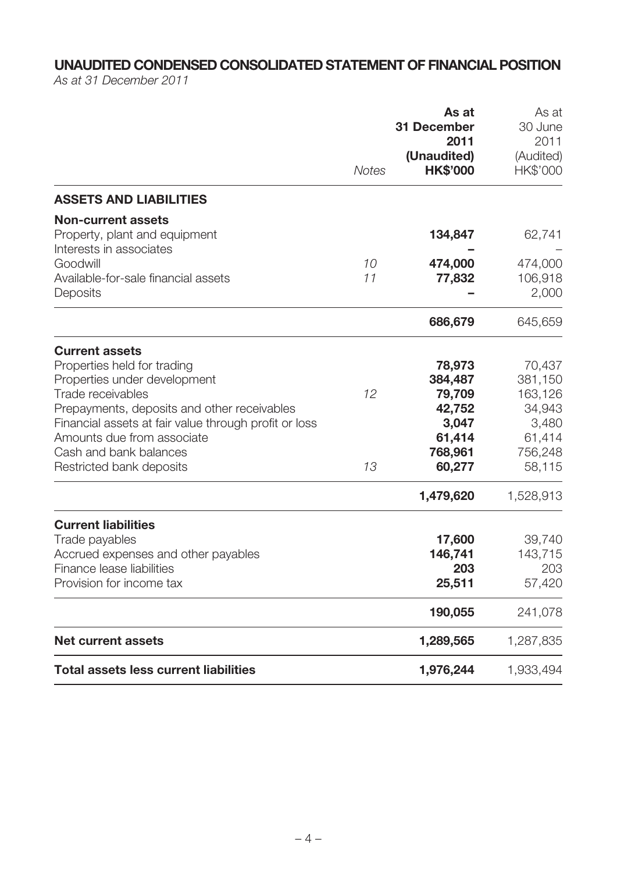# **UNAUDITED CONDENSED CONSOLIDATED STATEMENT OF FINANCIAL POSITION**

As at 31 December 2011

|                                                                                                                                                                                                                                                                                                       |              | As at<br><b>31 December</b><br>2011                                                        | As at<br>30 June<br>2011                                                                    |
|-------------------------------------------------------------------------------------------------------------------------------------------------------------------------------------------------------------------------------------------------------------------------------------------------------|--------------|--------------------------------------------------------------------------------------------|---------------------------------------------------------------------------------------------|
|                                                                                                                                                                                                                                                                                                       | <b>Notes</b> | (Unaudited)<br><b>HK\$'000</b>                                                             | (Audited)<br>HK\$'000                                                                       |
| <b>ASSETS AND LIABILITIES</b>                                                                                                                                                                                                                                                                         |              |                                                                                            |                                                                                             |
| <b>Non-current assets</b><br>Property, plant and equipment<br>Interests in associates                                                                                                                                                                                                                 |              | 134,847                                                                                    | 62,741                                                                                      |
| Goodwill<br>Available-for-sale financial assets<br>Deposits                                                                                                                                                                                                                                           | 10<br>11     | 474,000<br>77,832                                                                          | 474,000<br>106,918<br>2,000                                                                 |
|                                                                                                                                                                                                                                                                                                       |              | 686,679                                                                                    | 645,659                                                                                     |
| <b>Current assets</b><br>Properties held for trading<br>Properties under development<br>Trade receivables<br>Prepayments, deposits and other receivables<br>Financial assets at fair value through profit or loss<br>Amounts due from associate<br>Cash and bank balances<br>Restricted bank deposits | 12<br>13     | 78,973<br>384,487<br>79,709<br>42,752<br>3,047<br>61,414<br>768,961<br>60,277<br>1,479,620 | 70,437<br>381,150<br>163,126<br>34,943<br>3,480<br>61,414<br>756,248<br>58,115<br>1,528,913 |
| <b>Current liabilities</b><br>Trade payables<br>Accrued expenses and other payables<br>Finance lease liabilities<br>Provision for income tax                                                                                                                                                          |              | 17,600<br>146,741<br>203<br>25,511                                                         | 39,740<br>143,715<br>203<br>57,420                                                          |
|                                                                                                                                                                                                                                                                                                       |              | 190,055                                                                                    | 241,078                                                                                     |
| <b>Net current assets</b>                                                                                                                                                                                                                                                                             |              | 1,289,565                                                                                  | 1,287,835                                                                                   |
| <b>Total assets less current liabilities</b>                                                                                                                                                                                                                                                          |              | 1,976,244                                                                                  | 1,933,494                                                                                   |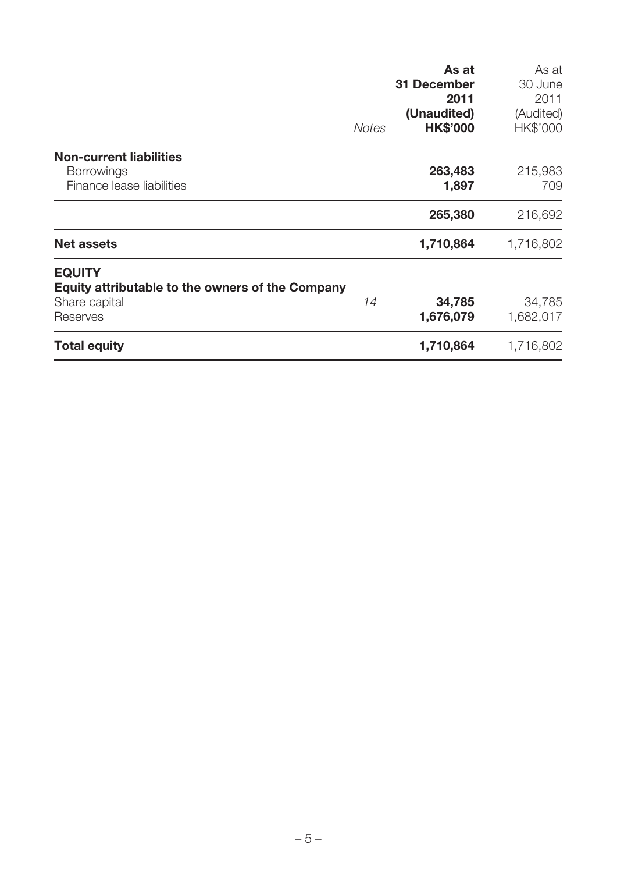|                                                                                                       | <b>Notes</b> | As at<br><b>31 December</b><br>2011<br>(Unaudited)<br><b>HK\$'000</b> | As at<br>30 June<br>2011<br>(Audited)<br>HK\$'000 |
|-------------------------------------------------------------------------------------------------------|--------------|-----------------------------------------------------------------------|---------------------------------------------------|
| <b>Non-current liabilities</b><br><b>Borrowings</b><br>Finance lease liabilities                      |              | 263,483<br>1,897                                                      | 215,983<br>709                                    |
|                                                                                                       |              | 265,380                                                               | 216,692                                           |
| <b>Net assets</b>                                                                                     |              | 1,710,864                                                             | 1,716,802                                         |
| <b>EQUITY</b><br><b>Equity attributable to the owners of the Company</b><br>Share capital<br>Reserves | 14           | 34,785<br>1,676,079                                                   | 34,785<br>1,682,017                               |
| <b>Total equity</b>                                                                                   |              | 1,710,864                                                             | 1,716,802                                         |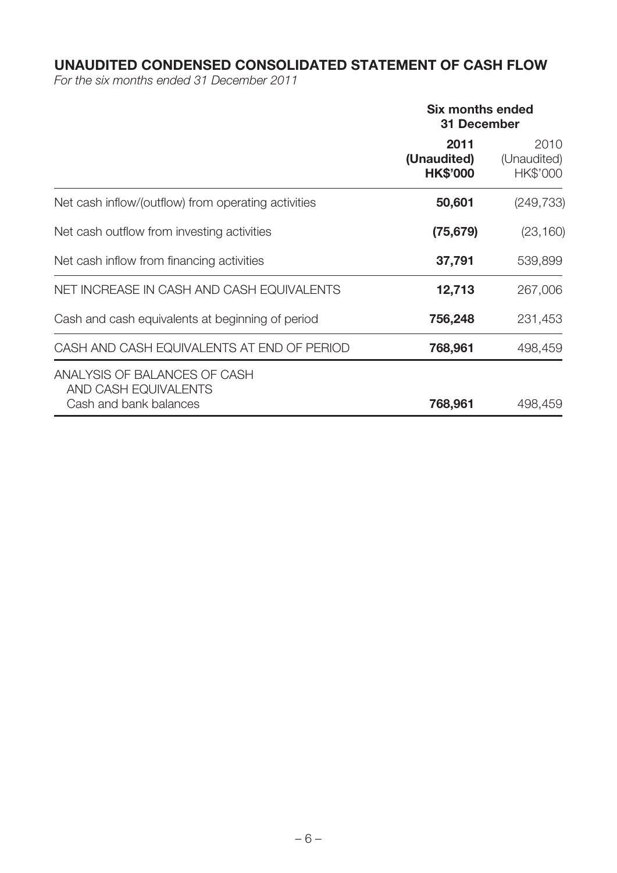# **UNAUDITED CONDENSED CONSOLIDATED STATEMENT OF CASH FLOW**

For the six months ended 31 December 2011

|                                                                                | <b>Six months ended</b><br><b>31 December</b> |                                 |  |
|--------------------------------------------------------------------------------|-----------------------------------------------|---------------------------------|--|
|                                                                                | 2011<br>(Unaudited)<br><b>HK\$'000</b>        | 2010<br>(Unaudited)<br>HK\$'000 |  |
| Net cash inflow/(outflow) from operating activities                            | 50,601                                        | (249, 733)                      |  |
| Net cash outflow from investing activities                                     | (75, 679)                                     | (23, 160)                       |  |
| Net cash inflow from financing activities                                      | 37,791                                        | 539,899                         |  |
| NET INCREASE IN CASH AND CASH EQUIVALENTS                                      | 12,713                                        | 267,006                         |  |
| Cash and cash equivalents at beginning of period                               | 756,248                                       | 231,453                         |  |
| CASH AND CASH EQUIVALENTS AT END OF PERIOD                                     | 768,961                                       | 498,459                         |  |
| ANALYSIS OF BALANCES OF CASH<br>AND CASH EQUIVALENTS<br>Cash and bank balances | 768,961                                       | 498,459                         |  |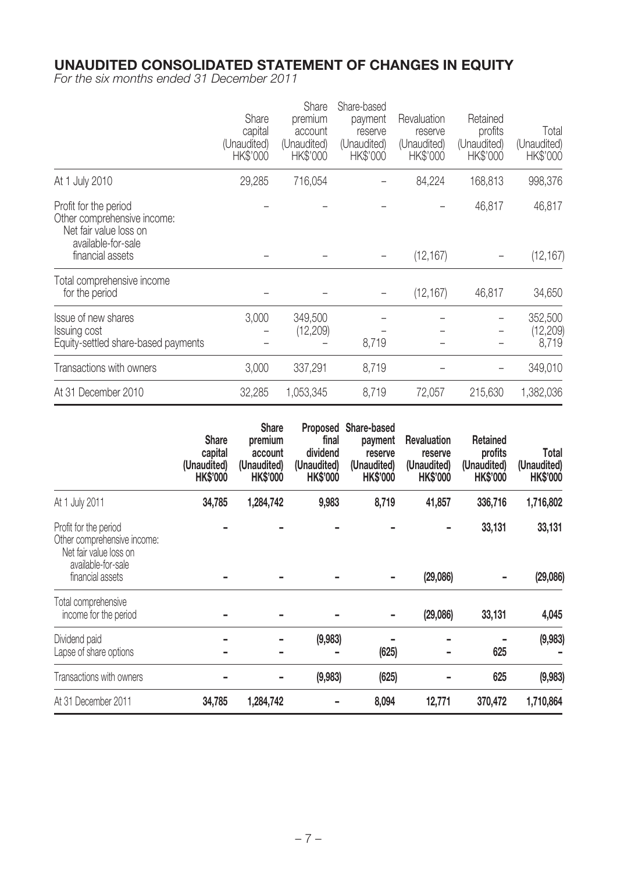### **UNAUDITED CONSOLIDATED STATEMENT OF CHANGES IN EQUITY**

For the six months ended 31 December 2011

|                                                                                                      | Share<br>capital<br>(Unaudited)<br>HK\$'000 | Share<br>premium<br>account<br>(Unaudited)<br>HK\$'000 | Share-based<br>payment<br>reserve<br>(Unaudited)<br>HK\$'000 | Revaluation<br>reserve<br>(Unaudited)<br>HK\$'000 | Retained<br>profits<br>(Unaudited)<br>HK\$'000 | Total<br>(Unaudited)<br>HK\$'000 |
|------------------------------------------------------------------------------------------------------|---------------------------------------------|--------------------------------------------------------|--------------------------------------------------------------|---------------------------------------------------|------------------------------------------------|----------------------------------|
| At 1 July 2010                                                                                       | 29,285                                      | 716,054                                                |                                                              | 84,224                                            | 168,813                                        | 998,376                          |
| Profit for the period<br>Other comprehensive income:<br>Net fair value loss on<br>available-for-sale |                                             |                                                        |                                                              |                                                   | 46,817                                         | 46,817                           |
| financial assets                                                                                     |                                             |                                                        |                                                              | (12, 167)                                         |                                                | (12, 167)                        |
| Total comprehensive income<br>for the period                                                         |                                             |                                                        |                                                              | (12, 167)                                         | 46,817                                         | 34,650                           |
| Issue of new shares<br>Issuing cost<br>Equity-settled share-based payments                           | 3,000                                       | 349,500<br>(12, 209)                                   | 8,719                                                        |                                                   |                                                | 352,500<br>(12, 209)<br>8,719    |
| Transactions with owners                                                                             | 3,000                                       | 337,291                                                | 8,719                                                        |                                                   |                                                | 349,010                          |
| At 31 December 2010                                                                                  | 32,285                                      | 1,053,345                                              | 8,719                                                        | 72,057                                            | 215,630                                        | 1,382,036                        |

|                                                                                                      | <b>Share</b><br>capital<br>(Unaudited)<br><b>HK\$'000</b> | <b>Share</b><br>premium<br>account<br>(Unaudited)<br><b>HK\$'000</b> | <b>Proposed</b><br>final<br>dividend<br>(Unaudited)<br><b>HK\$'000</b> | Share-based<br>payment<br>reserve<br>(Unaudited)<br><b>HK\$'000</b> | <b>Revaluation</b><br>reserve<br>(Unaudited)<br><b>HK\$'000</b> | <b>Retained</b><br>profits<br>(Unaudited)<br><b>HK\$'000</b> | Total<br>(Unaudited)<br><b>HK\$'000</b> |
|------------------------------------------------------------------------------------------------------|-----------------------------------------------------------|----------------------------------------------------------------------|------------------------------------------------------------------------|---------------------------------------------------------------------|-----------------------------------------------------------------|--------------------------------------------------------------|-----------------------------------------|
| At 1 July 2011                                                                                       | 34,785                                                    | 1,284,742                                                            | 9,983                                                                  | 8,719                                                               | 41,857                                                          | 336,716                                                      | 1,716,802                               |
| Profit for the period<br>Other comprehensive income:<br>Net fair value loss on<br>available-for-sale |                                                           |                                                                      |                                                                        |                                                                     |                                                                 | 33,131                                                       | 33,131                                  |
| financial assets                                                                                     |                                                           |                                                                      |                                                                        |                                                                     | (29,086)                                                        |                                                              | (29,086)                                |
| Total comprehensive<br>income for the period                                                         |                                                           |                                                                      |                                                                        |                                                                     | (29,086)                                                        | 33,131                                                       | 4,045                                   |
| Dividend paid<br>Lapse of share options                                                              |                                                           |                                                                      | (9,983)                                                                | (625)                                                               |                                                                 | 625                                                          | (9,983)                                 |
| Transactions with owners                                                                             |                                                           |                                                                      | (9,983)                                                                | (625)                                                               |                                                                 | 625                                                          | (9,983)                                 |
| At 31 December 2011                                                                                  | 34,785                                                    | 1,284,742                                                            |                                                                        | 8,094                                                               | 12,771                                                          | 370,472                                                      | 1,710,864                               |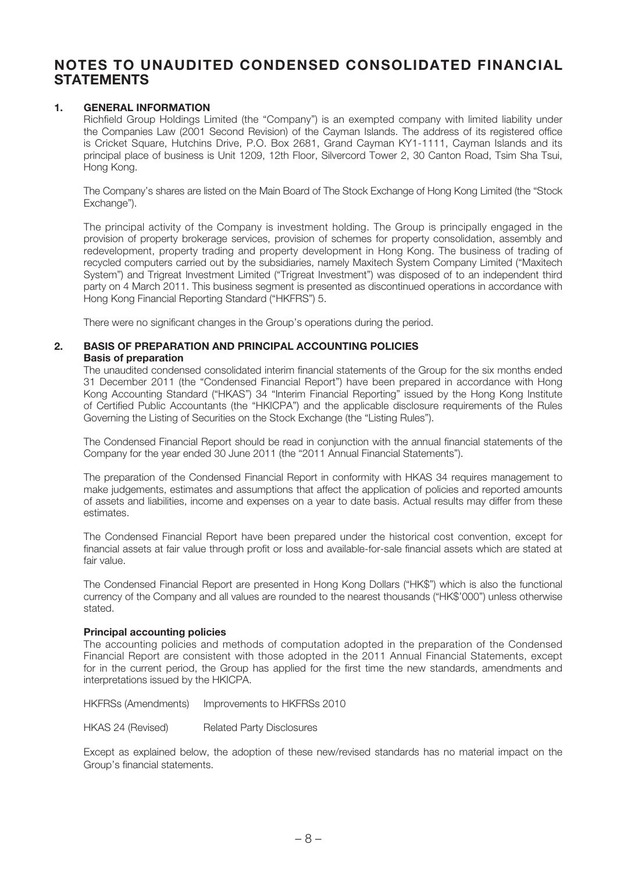### **NOTES TO UNAUDITED CONDENSED CONSOLIDATED FINANCIAL STATEMENTS**

#### **1. GENERAL INFORMATION**

Richfield Group Holdings Limited (the "Company") is an exempted company with limited liability under the Companies Law (2001 Second Revision) of the Cayman Islands. The address of its registered office is Cricket Square, Hutchins Drive, P.O. Box 2681, Grand Cayman KY1-1111, Cayman Islands and its principal place of business is Unit 1209, 12th Floor, Silvercord Tower 2, 30 Canton Road, Tsim Sha Tsui, Hong Kong.

The Company's shares are listed on the Main Board of The Stock Exchange of Hong Kong Limited (the "Stock Exchange").

The principal activity of the Company is investment holding. The Group is principally engaged in the provision of property brokerage services, provision of schemes for property consolidation, assembly and redevelopment, property trading and property development in Hong Kong. The business of trading of recycled computers carried out by the subsidiaries, namely Maxitech System Company Limited ("Maxitech System") and Trigreat Investment Limited ("Trigreat Investment") was disposed of to an independent third party on 4 March 2011. This business segment is presented as discontinued operations in accordance with Hong Kong Financial Reporting Standard ("HKFRS") 5.

There were no significant changes in the Group's operations during the period.

#### **2. BASIS OF PREPARATION AND PRINCIPAL ACCOUNTING POLICIES Basis of preparation**

The unaudited condensed consolidated interim financial statements of the Group for the six months ended 31 December 2011 (the "Condensed Financial Report") have been prepared in accordance with Hong Kong Accounting Standard ("HKAS") 34 "Interim Financial Reporting" issued by the Hong Kong Institute of Certified Public Accountants (the "HKICPA") and the applicable disclosure requirements of the Rules Governing the Listing of Securities on the Stock Exchange (the "Listing Rules").

The Condensed Financial Report should be read in conjunction with the annual financial statements of the Company for the year ended 30 June 2011 (the "2011 Annual Financial Statements").

The preparation of the Condensed Financial Report in conformity with HKAS 34 requires management to make judgements, estimates and assumptions that affect the application of policies and reported amounts of assets and liabilities, income and expenses on a year to date basis. Actual results may differ from these estimates.

The Condensed Financial Report have been prepared under the historical cost convention, except for financial assets at fair value through profit or loss and available-for-sale financial assets which are stated at fair value.

The Condensed Financial Report are presented in Hong Kong Dollars ("HK\$") which is also the functional currency of the Company and all values are rounded to the nearest thousands ("HK\$'000") unless otherwise stated.

#### **Principal accounting policies**

The accounting policies and methods of computation adopted in the preparation of the Condensed Financial Report are consistent with those adopted in the 2011 Annual Financial Statements, except for in the current period, the Group has applied for the first time the new standards, amendments and interpretations issued by the HKICPA.

HKFRSs (Amendments) Improvements to HKFRSs 2010

HKAS 24 (Revised) Related Party Disclosures

Except as explained below, the adoption of these new/revised standards has no material impact on the Group's financial statements.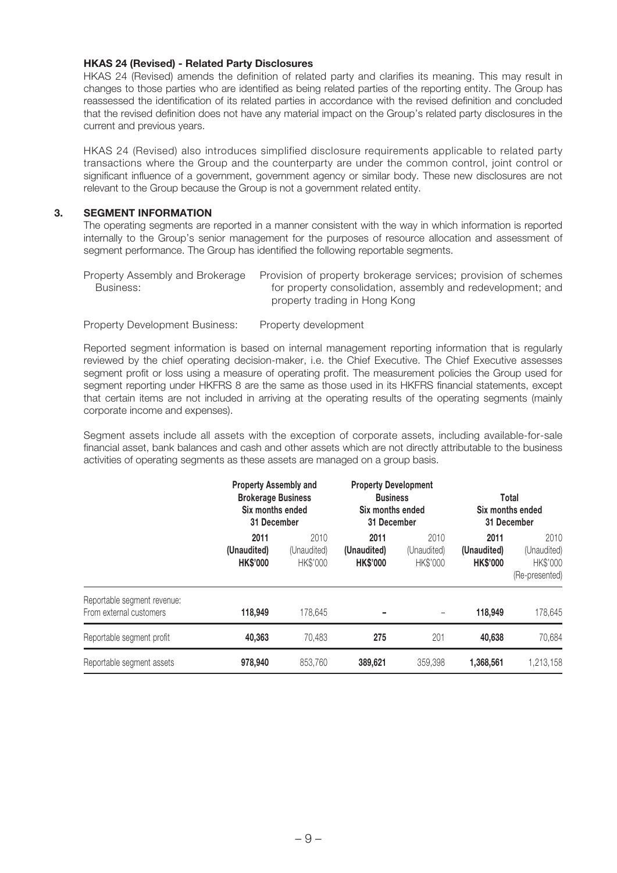#### **HKAS 24 (Revised) - Related Party Disclosures**

HKAS 24 (Revised) amends the definition of related party and clarifies its meaning. This may result in changes to those parties who are identified as being related parties of the reporting entity. The Group has reassessed the identification of its related parties in accordance with the revised definition and concluded that the revised definition does not have any material impact on the Group's related party disclosures in the current and previous years.

HKAS 24 (Revised) also introduces simplified disclosure requirements applicable to related party transactions where the Group and the counterparty are under the common control, joint control or significant influence of a government, government agency or similar body. These new disclosures are not relevant to the Group because the Group is not a government related entity.

#### **3. SEGMENT INFORMATION**

The operating segments are reported in a manner consistent with the way in which information is reported internally to the Group's senior management for the purposes of resource allocation and assessment of segment performance. The Group has identified the following reportable segments.

| Property Assembly and Brokerage | Provision of property brokerage services; provision of schemes |
|---------------------------------|----------------------------------------------------------------|
| Business:                       | for property consolidation, assembly and redevelopment; and    |
|                                 | property trading in Hong Kong                                  |

Property Development Business: Property development

Reported segment information is based on internal management reporting information that is regularly reviewed by the chief operating decision-maker, i.e. the Chief Executive. The Chief Executive assesses segment profit or loss using a measure of operating profit. The measurement policies the Group used for segment reporting under HKFRS 8 are the same as those used in its HKFRS financial statements, except that certain items are not included in arriving at the operating results of the operating segments (mainly corporate income and expenses).

Segment assets include all assets with the exception of corporate assets, including available-for-sale financial asset, bank balances and cash and other assets which are not directly attributable to the business activities of operating segments as these assets are managed on a group basis.

|                                                        | <b>Property Assembly and</b><br><b>Brokerage Business</b><br>Six months ended<br>31 December |                                 | <b>Property Development</b><br><b>Business</b><br>Six months ended<br>31 December |                                 | Total<br>Six months ended<br>31 December |                                                   |
|--------------------------------------------------------|----------------------------------------------------------------------------------------------|---------------------------------|-----------------------------------------------------------------------------------|---------------------------------|------------------------------------------|---------------------------------------------------|
|                                                        | 2011<br>(Unaudited)<br><b>HK\$'000</b>                                                       | 2010<br>(Unaudited)<br>HK\$'000 | 2011<br>(Unaudited)<br><b>HK\$'000</b>                                            | 2010<br>(Unaudited)<br>HK\$'000 | 2011<br>(Unaudited)<br><b>HK\$'000</b>   | 2010<br>(Unaudited)<br>HK\$'000<br>(Re-presented) |
| Reportable segment revenue:<br>From external customers | 118,949                                                                                      | 178,645                         |                                                                                   |                                 | 118,949                                  | 178,645                                           |
| Reportable segment profit                              | 40,363                                                                                       | 70.483                          | 275                                                                               | 201                             | 40,638                                   | 70,684                                            |
| Reportable segment assets                              | 978,940                                                                                      | 853,760                         | 389.621                                                                           | 359,398                         | 1,368,561                                | 1,213,158                                         |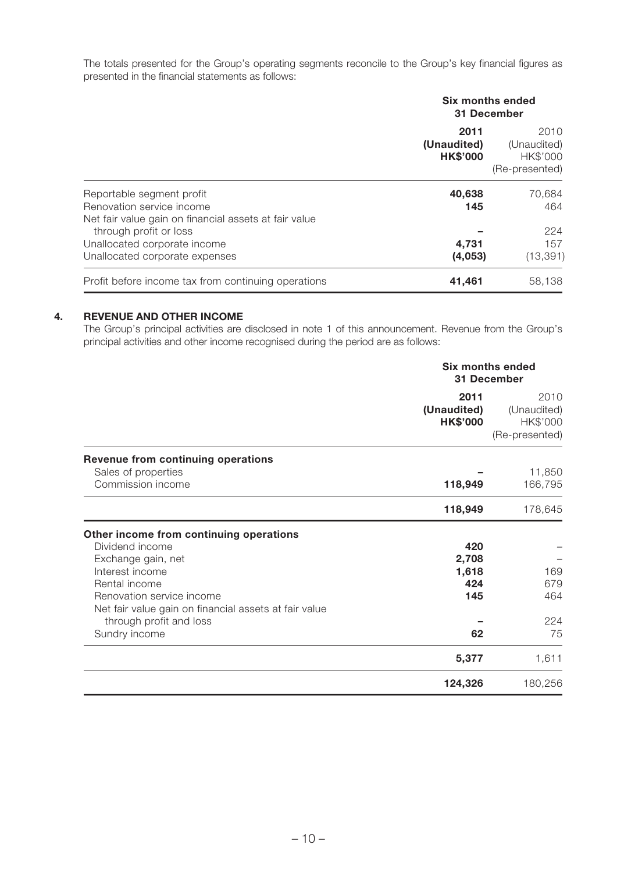The totals presented for the Group's operating segments reconcile to the Group's key financial figures as presented in the financial statements as follows:

|                                                       | Six months ended<br>31 December        |                                                   |  |
|-------------------------------------------------------|----------------------------------------|---------------------------------------------------|--|
|                                                       | 2011<br>(Unaudited)<br><b>HK\$'000</b> | 2010<br>(Unaudited)<br>HK\$'000<br>(Re-presented) |  |
| Reportable segment profit                             | 40,638                                 | 70,684                                            |  |
| Renovation service income                             | 145                                    | 464                                               |  |
| Net fair value gain on financial assets at fair value |                                        |                                                   |  |
| through profit or loss                                |                                        | 224                                               |  |
| Unallocated corporate income                          | 4.731                                  | 157                                               |  |
| Unallocated corporate expenses                        | (4,053)                                | (13, 391)                                         |  |
| Profit before income tax from continuing operations   | 41,461                                 | 58,138                                            |  |

#### **4. REVENUE AND OTHER INCOME**

The Group's principal activities are disclosed in note 1 of this announcement. Revenue from the Group's principal activities and other income recognised during the period are as follows:

|                                                                                                                                                                                                                                                        | <b>Six months ended</b><br>31 December    |                                                   |  |
|--------------------------------------------------------------------------------------------------------------------------------------------------------------------------------------------------------------------------------------------------------|-------------------------------------------|---------------------------------------------------|--|
|                                                                                                                                                                                                                                                        | 2011<br>(Unaudited)<br><b>HK\$'000</b>    | 2010<br>(Unaudited)<br>HK\$'000<br>(Re-presented) |  |
| Revenue from continuing operations                                                                                                                                                                                                                     |                                           |                                                   |  |
| Sales of properties<br>Commission income<br>118,949                                                                                                                                                                                                    | 11,850<br>166,795                         |                                                   |  |
|                                                                                                                                                                                                                                                        | 118,949                                   | 178,645                                           |  |
| Other income from continuing operations<br>Dividend income<br>Exchange gain, net<br>Interest income<br>Rental income<br>Renovation service income<br>Net fair value gain on financial assets at fair value<br>through profit and loss<br>Sundry income | 420<br>2,708<br>1,618<br>424<br>145<br>62 | 169<br>679<br>464<br>224<br>75                    |  |
|                                                                                                                                                                                                                                                        | 5,377                                     | 1,611                                             |  |
|                                                                                                                                                                                                                                                        | 124,326                                   | 180,256                                           |  |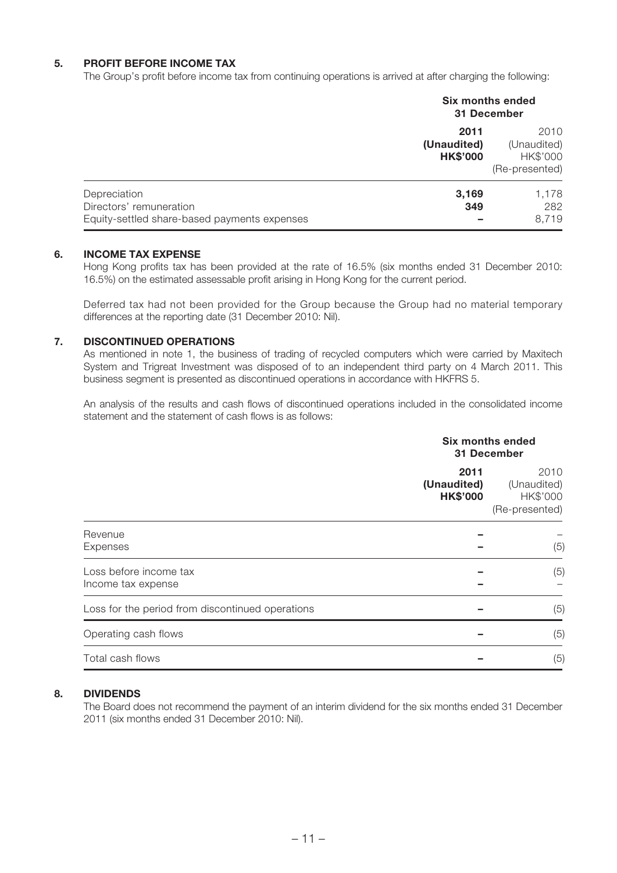### **5. PROFIT BEFORE INCOME TAX**

The Group's profit before income tax from continuing operations is arrived at after charging the following:

|                                                                                         | Six months ended<br>31 December        |                                                   |  |
|-----------------------------------------------------------------------------------------|----------------------------------------|---------------------------------------------------|--|
|                                                                                         | 2011<br>(Unaudited)<br><b>HK\$'000</b> | 2010<br>(Unaudited)<br>HK\$'000<br>(Re-presented) |  |
| Depreciation<br>Directors' remuneration<br>Equity-settled share-based payments expenses | 3,169<br>349                           | 1,178<br>282<br>8,719                             |  |

#### **6. INCOME TAX EXPENSE**

Hong Kong profits tax has been provided at the rate of 16.5% (six months ended 31 December 2010: 16.5%) on the estimated assessable profit arising in Hong Kong for the current period.

Deferred tax had not been provided for the Group because the Group had no material temporary differences at the reporting date (31 December 2010: Nil).

#### **7. DISCONTINUED OPERATIONS**

As mentioned in note 1, the business of trading of recycled computers which were carried by Maxitech System and Trigreat Investment was disposed of to an independent third party on 4 March 2011. This business segment is presented as discontinued operations in accordance with HKFRS 5.

An analysis of the results and cash flows of discontinued operations included in the consolidated income statement and the statement of cash flows is as follows:

|                                                  | <b>Six months ended</b><br>31 December |                                                   |
|--------------------------------------------------|----------------------------------------|---------------------------------------------------|
|                                                  | 2011<br>(Unaudited)<br><b>HK\$'000</b> | 2010<br>(Unaudited)<br>HK\$'000<br>(Re-presented) |
| Revenue<br>Expenses                              |                                        | (5)                                               |
| Loss before income tax<br>Income tax expense     |                                        | (5)                                               |
| Loss for the period from discontinued operations |                                        | (5)                                               |
| Operating cash flows                             |                                        | (5)                                               |
| Total cash flows                                 |                                        | (5)                                               |

#### **8. DIVIDENDS**

The Board does not recommend the payment of an interim dividend for the six months ended 31 December 2011 (six months ended 31 December 2010: Nil).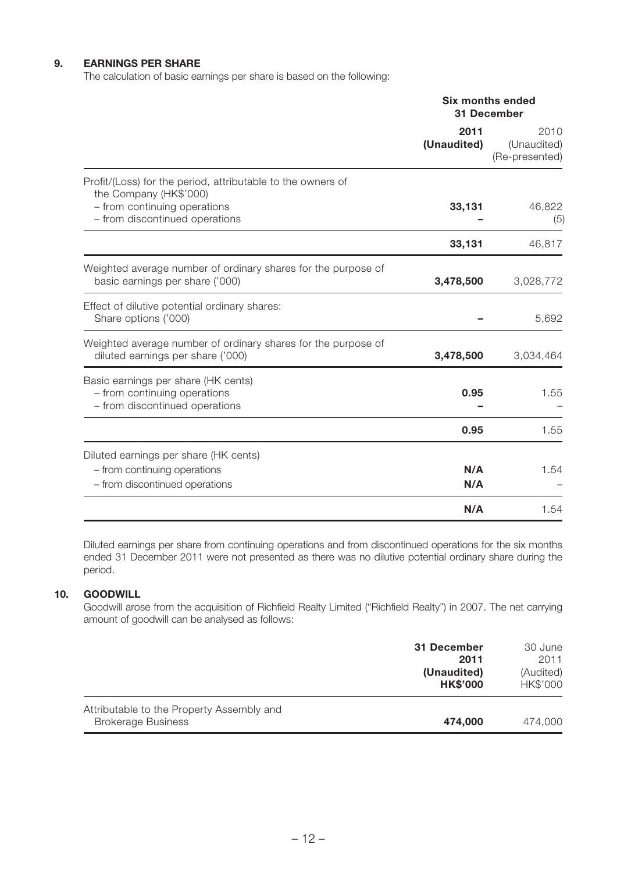### **9. EARNINGS PER SHARE**

The calculation of basic earnings per share is based on the following:

|                                                                                                                                                         | <b>Six months ended</b><br><b>31 December</b> |                                       |
|---------------------------------------------------------------------------------------------------------------------------------------------------------|-----------------------------------------------|---------------------------------------|
|                                                                                                                                                         | 2011<br>(Unaudited)                           | 2010<br>(Unaudited)<br>(Re-presented) |
| Profit/(Loss) for the period, attributable to the owners of<br>the Company (HK\$'000)<br>- from continuing operations<br>- from discontinued operations | 33,131                                        | 46,822<br>(5)                         |
|                                                                                                                                                         | 33,131                                        | 46,817                                |
| Weighted average number of ordinary shares for the purpose of<br>basic earnings per share ('000)                                                        | 3,478,500                                     | 3,028,772                             |
| Effect of dilutive potential ordinary shares:<br>Share options ('000)                                                                                   |                                               | 5,692                                 |
| Weighted average number of ordinary shares for the purpose of<br>diluted earnings per share ('000)                                                      | 3,478,500                                     | 3,034,464                             |
| Basic earnings per share (HK cents)<br>- from continuing operations<br>- from discontinued operations                                                   | 0.95                                          | 1.55                                  |
|                                                                                                                                                         | 0.95                                          | 1.55                                  |
| Diluted earnings per share (HK cents)<br>- from continuing operations<br>- from discontinued operations                                                 | N/A<br>N/A                                    | 1.54                                  |
|                                                                                                                                                         | N/A                                           | 1.54                                  |

Diluted earnings per share from continuing operations and from discontinued operations for the six months ended 31 December 2011 were not presented as there was no dilutive potential ordinary share during the period.

#### **10. GOODWILL**

Goodwill arose from the acquisition of Richfield Realty Limited ("Richfield Realty") in 2007. The net carrying amount of goodwill can be analysed as follows:

|                                                                        | 31 December<br>2011<br>(Unaudited)<br><b>HK\$'000</b> | 30 June<br>2011<br>(Audited)<br>HK\$'000 |
|------------------------------------------------------------------------|-------------------------------------------------------|------------------------------------------|
| Attributable to the Property Assembly and<br><b>Brokerage Business</b> | 474,000                                               | 474,000                                  |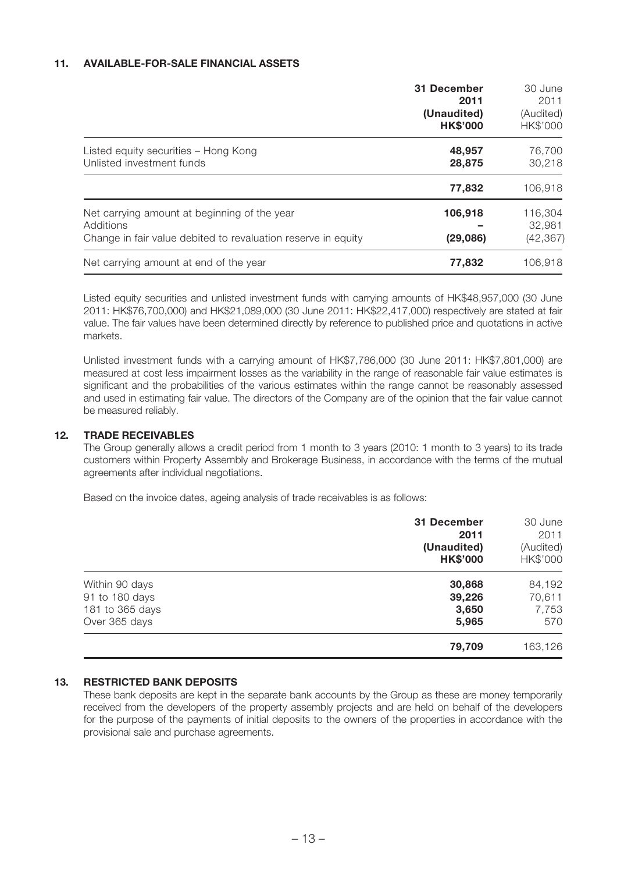#### **11. AVAILABLE-FOR-SALE FINANCIAL ASSETS**

|                                                                                                                            | 31 December<br>2011<br>(Unaudited)<br><b>HK\$'000</b> | 30 June<br>2011<br>(Audited)<br>HK\$'000 |
|----------------------------------------------------------------------------------------------------------------------------|-------------------------------------------------------|------------------------------------------|
| Listed equity securities - Hong Kong<br>Unlisted investment funds                                                          | 48,957<br>28,875                                      | 76,700<br>30,218                         |
|                                                                                                                            | 77,832                                                | 106,918                                  |
| Net carrying amount at beginning of the year<br>Additions<br>Change in fair value debited to revaluation reserve in equity | 106,918<br>(29,086)                                   | 116,304<br>32,981<br>(42, 367)           |
| Net carrying amount at end of the year                                                                                     | 77,832                                                | 106,918                                  |

Listed equity securities and unlisted investment funds with carrying amounts of HK\$48,957,000 (30 June 2011: HK\$76,700,000) and HK\$21,089,000 (30 June 2011: HK\$22,417,000) respectively are stated at fair value. The fair values have been determined directly by reference to published price and quotations in active markets.

Unlisted investment funds with a carrying amount of HK\$7,786,000 (30 June 2011: HK\$7,801,000) are measured at cost less impairment losses as the variability in the range of reasonable fair value estimates is significant and the probabilities of the various estimates within the range cannot be reasonably assessed and used in estimating fair value. The directors of the Company are of the opinion that the fair value cannot be measured reliably.

#### **12. TRADE RECEIVABLES**

The Group generally allows a credit period from 1 month to 3 years (2010: 1 month to 3 years) to its trade customers within Property Assembly and Brokerage Business, in accordance with the terms of the mutual agreements after individual negotiations.

Based on the invoice dates, ageing analysis of trade receivables is as follows:

|                 | 31 December<br>2011<br>(Unaudited)<br><b>HK\$'000</b> | 30 June<br>2011<br>(Audited)<br>HK\$'000 |
|-----------------|-------------------------------------------------------|------------------------------------------|
| Within 90 days  | 30,868                                                | 84,192                                   |
| 91 to 180 days  | 39,226                                                | 70,611                                   |
| 181 to 365 days | 3,650                                                 | 7,753                                    |
| Over 365 days   | 5,965                                                 | 570                                      |
|                 | 79,709                                                | 163,126                                  |

#### **13. RESTRICTED BANK DEPOSITS**

These bank deposits are kept in the separate bank accounts by the Group as these are money temporarily received from the developers of the property assembly projects and are held on behalf of the developers for the purpose of the payments of initial deposits to the owners of the properties in accordance with the provisional sale and purchase agreements.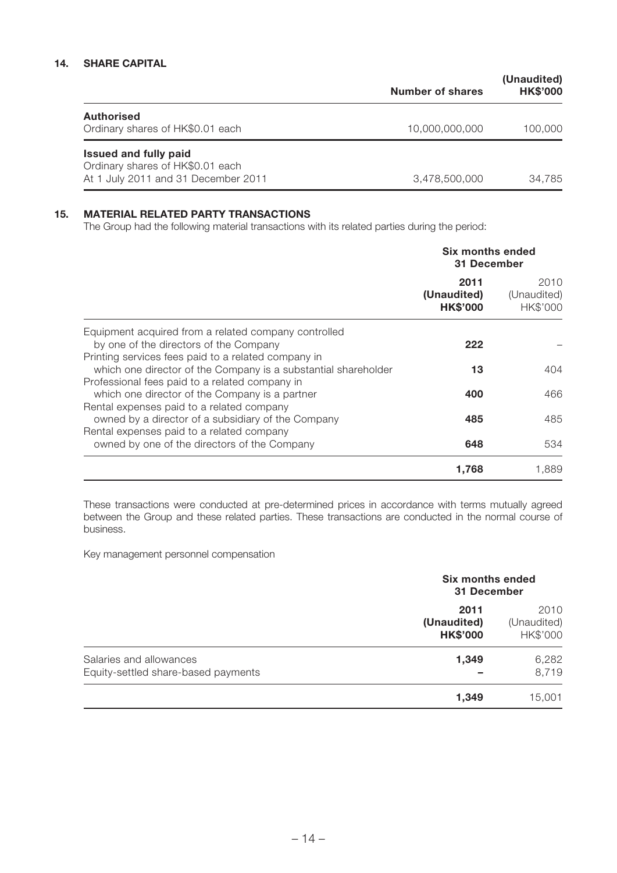### **14. SHARE CAPITAL**

|                                                                                                         | Number of shares | (Unaudited)<br><b>HK\$'000</b> |
|---------------------------------------------------------------------------------------------------------|------------------|--------------------------------|
| <b>Authorised</b><br>Ordinary shares of HK\$0.01 each                                                   | 10.000.000.000   | 100,000                        |
| <b>Issued and fully paid</b><br>Ordinary shares of HK\$0.01 each<br>At 1 July 2011 and 31 December 2011 | 3.478.500.000    | 34.785                         |

### **15. MATERIAL RELATED PARTY TRANSACTIONS**

The Group had the following material transactions with its related parties during the period:

|                                                                | Six months ended<br>31 December        |                                 |
|----------------------------------------------------------------|----------------------------------------|---------------------------------|
|                                                                | 2011<br>(Unaudited)<br><b>HK\$'000</b> | 2010<br>(Unaudited)<br>HK\$'000 |
| Equipment acquired from a related company controlled           |                                        |                                 |
| by one of the directors of the Company                         | 222                                    |                                 |
| Printing services fees paid to a related company in            |                                        |                                 |
| which one director of the Company is a substantial shareholder | 13                                     | 404                             |
| Professional fees paid to a related company in                 |                                        |                                 |
| which one director of the Company is a partner                 | 400                                    | 466                             |
| Rental expenses paid to a related company                      |                                        |                                 |
| owned by a director of a subsidiary of the Company             | 485                                    | 485                             |
| Rental expenses paid to a related company                      |                                        |                                 |
| owned by one of the directors of the Company                   | 648                                    | 534                             |
|                                                                | 1,768                                  | 1,889                           |

These transactions were conducted at pre-determined prices in accordance with terms mutually agreed between the Group and these related parties. These transactions are conducted in the normal course of business.

Key management personnel compensation

|                                                                | Six months ended<br>31 December        |                                 |
|----------------------------------------------------------------|----------------------------------------|---------------------------------|
|                                                                | 2011<br>(Unaudited)<br><b>HK\$'000</b> | 2010<br>(Unaudited)<br>HK\$'000 |
| Salaries and allowances<br>Equity-settled share-based payments | 1,349                                  | 6,282<br>8,719                  |
|                                                                | 1,349                                  | 15,001                          |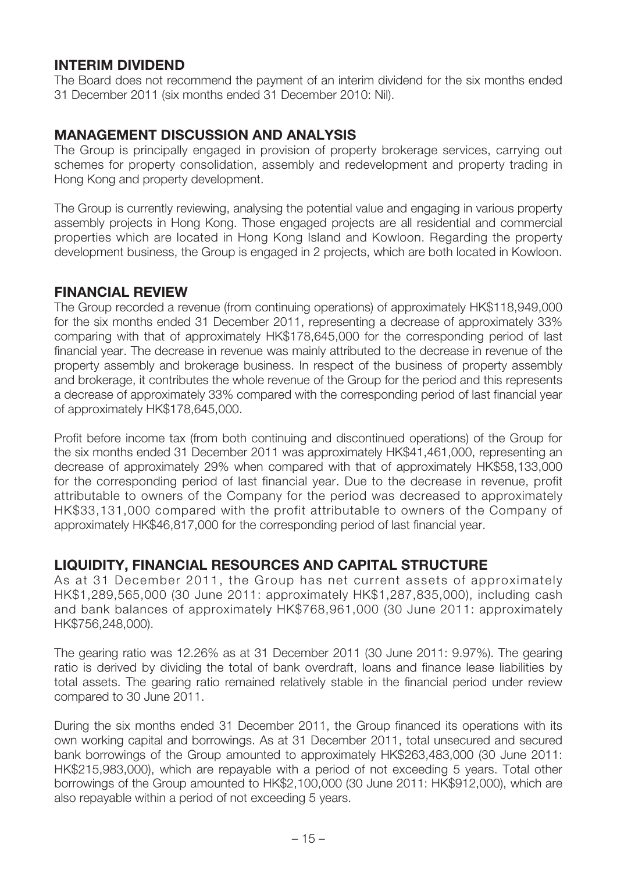### **INTERIM DIVIDEND**

The Board does not recommend the payment of an interim dividend for the six months ended 31 December 2011 (six months ended 31 December 2010: Nil).

### **MANAGEMENT DISCUSSION AND ANALYSIS**

The Group is principally engaged in provision of property brokerage services, carrying out schemes for property consolidation, assembly and redevelopment and property trading in Hong Kong and property development.

The Group is currently reviewing, analysing the potential value and engaging in various property assembly projects in Hong Kong. Those engaged projects are all residential and commercial properties which are located in Hong Kong Island and Kowloon. Regarding the property development business, the Group is engaged in 2 projects, which are both located in Kowloon.

### **FINANCIAL REVIEW**

The Group recorded a revenue (from continuing operations) of approximately HK\$118,949,000 for the six months ended 31 December 2011, representing a decrease of approximately 33% comparing with that of approximately HK\$178,645,000 for the corresponding period of last financial year. The decrease in revenue was mainly attributed to the decrease in revenue of the property assembly and brokerage business. In respect of the business of property assembly and brokerage, it contributes the whole revenue of the Group for the period and this represents a decrease of approximately 33% compared with the corresponding period of last financial year of approximately HK\$178,645,000.

Profit before income tax (from both continuing and discontinued operations) of the Group for the six months ended 31 December 2011 was approximately HK\$41,461,000, representing an decrease of approximately 29% when compared with that of approximately HK\$58,133,000 for the corresponding period of last financial year. Due to the decrease in revenue, profit attributable to owners of the Company for the period was decreased to approximately HK\$33,131,000 compared with the profit attributable to owners of the Company of approximately HK\$46,817,000 for the corresponding period of last financial year.

### **LIQUIDITY, FINANCIAL RESOURCES AND CAPITAL STRUCTURE**

As at 31 December 2011, the Group has net current assets of approximately HK\$1,289,565,000 (30 June 2011: approximately HK\$1,287,835,000), including cash and bank balances of approximately HK\$768,961,000 (30 June 2011: approximately HK\$756,248,000).

The gearing ratio was 12.26% as at 31 December 2011 (30 June 2011: 9.97%). The gearing ratio is derived by dividing the total of bank overdraft, loans and finance lease liabilities by total assets. The gearing ratio remained relatively stable in the financial period under review compared to 30 June 2011.

During the six months ended 31 December 2011, the Group financed its operations with its own working capital and borrowings. As at 31 December 2011, total unsecured and secured bank borrowings of the Group amounted to approximately HK\$263,483,000 (30 June 2011: HK\$215,983,000), which are repayable with a period of not exceeding 5 years. Total other borrowings of the Group amounted to HK\$2,100,000 (30 June 2011: HK\$912,000), which are also repayable within a period of not exceeding 5 years.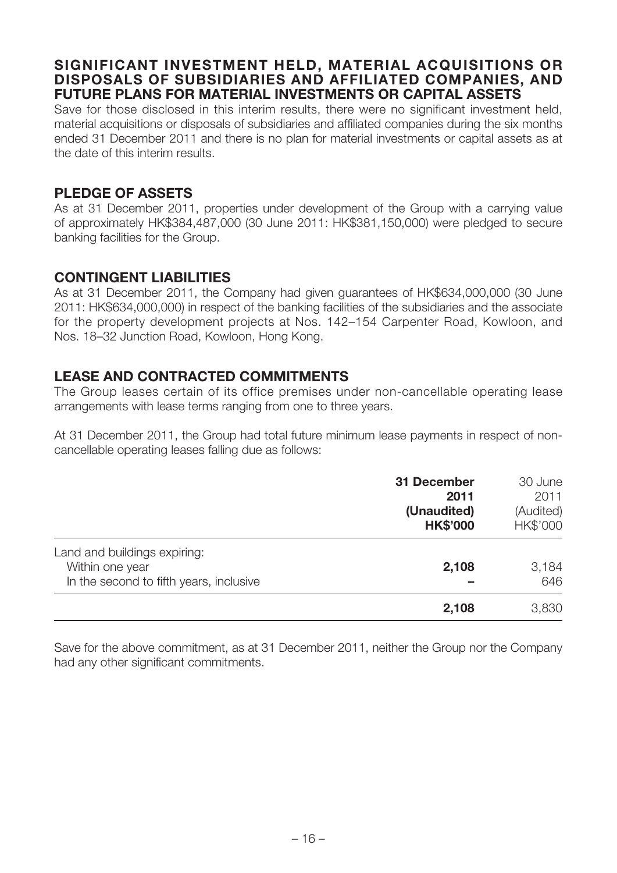### **SIGNIFICANT INVESTMENT HELD, MATERIAL ACQUISITIONS OR DISPOSALS OF SUBSIDIARIES AND AFFILIATED COMPANIES, AND FUTURE PLANS FOR MATERIAL INVESTMENTS OR CAPITAL ASSETS**

Save for those disclosed in this interim results, there were no significant investment held, material acquisitions or disposals of subsidiaries and affiliated companies during the six months ended 31 December 2011 and there is no plan for material investments or capital assets as at the date of this interim results.

### **PLEDGE OF ASSETS**

As at 31 December 2011, properties under development of the Group with a carrying value of approximately HK\$384,487,000 (30 June 2011: HK\$381,150,000) were pledged to secure banking facilities for the Group.

### **CONTINGENT LIABILITIES**

As at 31 December 2011, the Company had given guarantees of HK\$634,000,000 (30 June 2011: HK\$634,000,000) in respect of the banking facilities of the subsidiaries and the associate for the property development projects at Nos. 142–154 Carpenter Road, Kowloon, and Nos. 18–32 Junction Road, Kowloon, Hong Kong.

### **LEASE AND CONTRACTED COMMITMENTS**

The Group leases certain of its office premises under non-cancellable operating lease arrangements with lease terms ranging from one to three years.

At 31 December 2011, the Group had total future minimum lease payments in respect of noncancellable operating leases falling due as follows:

|                                         | 31 December<br>2011<br>(Unaudited)<br><b>HK\$'000</b> | 30 June<br>2011<br>(Audited)<br>HK\$'000 |
|-----------------------------------------|-------------------------------------------------------|------------------------------------------|
| Land and buildings expiring:            |                                                       |                                          |
| Within one year                         | 2,108                                                 | 3,184                                    |
| In the second to fifth years, inclusive |                                                       | 646                                      |
|                                         | 2,108                                                 | 3,830                                    |

Save for the above commitment, as at 31 December 2011, neither the Group nor the Company had any other significant commitments.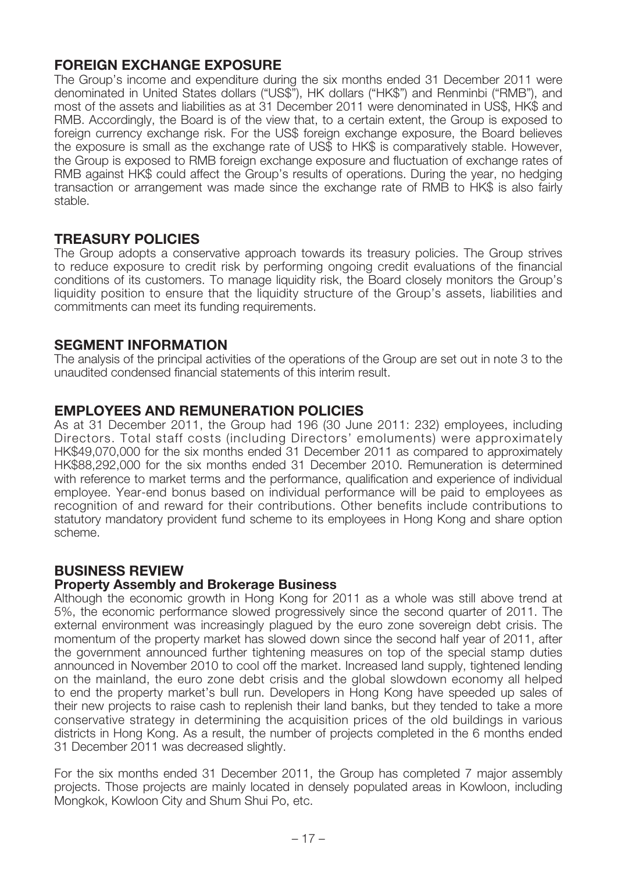### **FOREIGN EXCHANGE EXPOSURE**

The Group's income and expenditure during the six months ended 31 December 2011 were denominated in United States dollars ("US\$"), HK dollars ("HK\$") and Renminbi ("RMB"), and most of the assets and liabilities as at 31 December 2011 were denominated in US\$, HK\$ and RMB. Accordingly, the Board is of the view that, to a certain extent, the Group is exposed to foreign currency exchange risk. For the US\$ foreign exchange exposure, the Board believes the exposure is small as the exchange rate of US\$ to HK\$ is comparatively stable. However, the Group is exposed to RMB foreign exchange exposure and fluctuation of exchange rates of RMB against HK\$ could affect the Group's results of operations. During the year, no hedging transaction or arrangement was made since the exchange rate of RMB to HK\$ is also fairly stable.

### **TREASURY POLICIES**

The Group adopts a conservative approach towards its treasury policies. The Group strives to reduce exposure to credit risk by performing ongoing credit evaluations of the financial conditions of its customers. To manage liquidity risk, the Board closely monitors the Group's liquidity position to ensure that the liquidity structure of the Group's assets, liabilities and commitments can meet its funding requirements.

### **SEGMENT INFORMATION**

The analysis of the principal activities of the operations of the Group are set out in note 3 to the unaudited condensed financial statements of this interim result.

### **EMPLOYEES AND REMUNERATION POLICIES**

As at 31 December 2011, the Group had 196 (30 June 2011: 232) employees, including Directors. Total staff costs (including Directors' emoluments) were approximately HK\$49,070,000 for the six months ended 31 December 2011 as compared to approximately HK\$88,292,000 for the six months ended 31 December 2010. Remuneration is determined with reference to market terms and the performance, qualification and experience of individual employee. Year-end bonus based on individual performance will be paid to employees as recognition of and reward for their contributions. Other benefits include contributions to statutory mandatory provident fund scheme to its employees in Hong Kong and share option scheme.

### **BUSINESS REVIEW**

### **Property Assembly and Brokerage Business**

Although the economic growth in Hong Kong for 2011 as a whole was still above trend at 5%, the economic performance slowed progressively since the second quarter of 2011. The external environment was increasingly plagued by the euro zone sovereign debt crisis. The momentum of the property market has slowed down since the second half year of 2011, after the government announced further tightening measures on top of the special stamp duties announced in November 2010 to cool off the market. Increased land supply, tightened lending on the mainland, the euro zone debt crisis and the global slowdown economy all helped to end the property market's bull run. Developers in Hong Kong have speeded up sales of their new projects to raise cash to replenish their land banks, but they tended to take a more conservative strategy in determining the acquisition prices of the old buildings in various districts in Hong Kong. As a result, the number of projects completed in the 6 months ended 31 December 2011 was decreased slightly.

For the six months ended 31 December 2011, the Group has completed 7 major assembly projects. Those projects are mainly located in densely populated areas in Kowloon, including Mongkok, Kowloon City and Shum Shui Po, etc.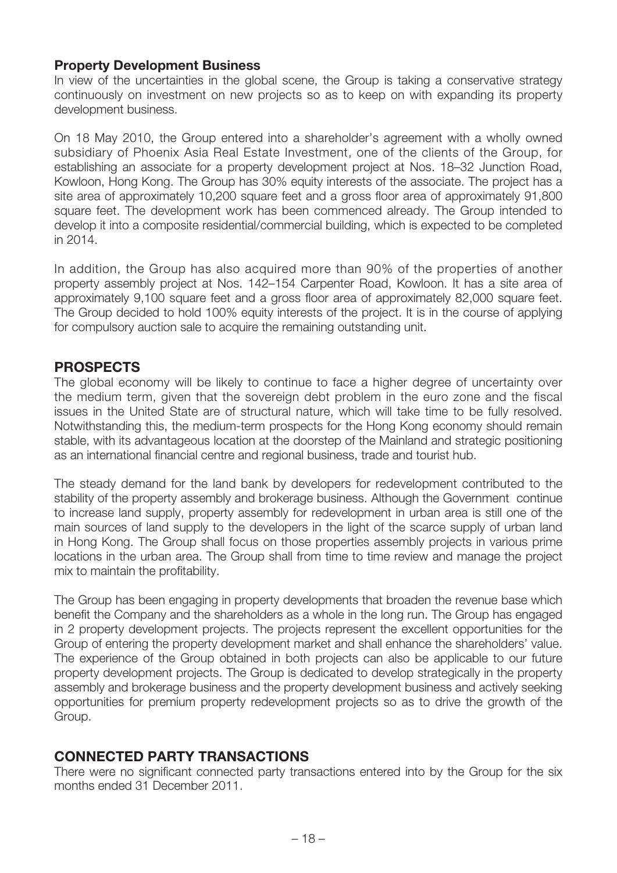### **Property Development Business**

In view of the uncertainties in the global scene, the Group is taking a conservative strategy continuously on investment on new projects so as to keep on with expanding its property development business.

On 18 May 2010, the Group entered into a shareholder's agreement with a wholly owned subsidiary of Phoenix Asia Real Estate Investment, one of the clients of the Group, for establishing an associate for a property development project at Nos. 18–32 Junction Road, Kowloon, Hong Kong. The Group has 30% equity interests of the associate. The project has a site area of approximately 10,200 square feet and a gross floor area of approximately 91,800 square feet. The development work has been commenced already. The Group intended to develop it into a composite residential/commercial building, which is expected to be completed in 2014.

In addition, the Group has also acquired more than 90% of the properties of another property assembly project at Nos. 142–154 Carpenter Road, Kowloon. It has a site area of approximately 9,100 square feet and a gross floor area of approximately 82,000 square feet. The Group decided to hold 100% equity interests of the project. It is in the course of applying for compulsory auction sale to acquire the remaining outstanding unit.

### **PROSPECTS**

The global economy will be likely to continue to face a higher degree of uncertainty over the medium term, given that the sovereign debt problem in the euro zone and the fiscal issues in the United State are of structural nature, which will take time to be fully resolved. Notwithstanding this, the medium-term prospects for the Hong Kong economy should remain stable, with its advantageous location at the doorstep of the Mainland and strategic positioning as an international financial centre and regional business, trade and tourist hub.

The steady demand for the land bank by developers for redevelopment contributed to the stability of the property assembly and brokerage business. Although the Government continue to increase land supply, property assembly for redevelopment in urban area is still one of the main sources of land supply to the developers in the light of the scarce supply of urban land in Hong Kong. The Group shall focus on those properties assembly projects in various prime locations in the urban area. The Group shall from time to time review and manage the project mix to maintain the profitability.

The Group has been engaging in property developments that broaden the revenue base which benefit the Company and the shareholders as a whole in the long run. The Group has engaged in 2 property development projects. The projects represent the excellent opportunities for the Group of entering the property development market and shall enhance the shareholders' value. The experience of the Group obtained in both projects can also be applicable to our future property development projects. The Group is dedicated to develop strategically in the property assembly and brokerage business and the property development business and actively seeking opportunities for premium property redevelopment projects so as to drive the growth of the Group.

# **CONNECTED PARTY TRANSACTIONS**

There were no significant connected party transactions entered into by the Group for the six months ended 31 December 2011.